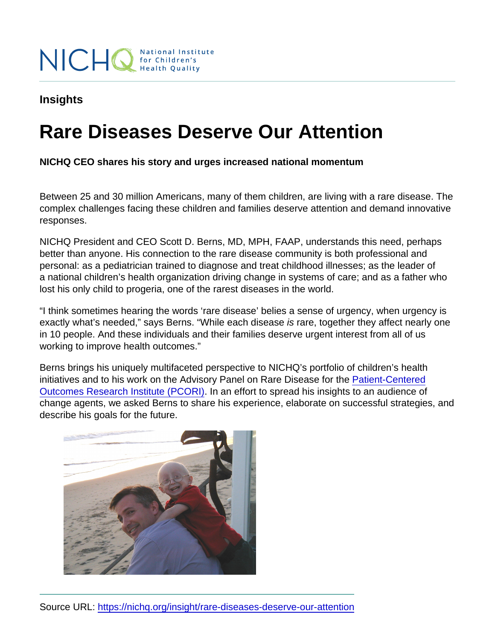Insights

# Rare Diseases Deserve Our Attention

NICHQ CEO shares his story and urges increased national momentum

Between 25 and 30 million Americans, many of them children, are living with a rare disease. The complex challenges facing these children and families deserve attention and demand innovative responses.

NICHQ President and CEO Scott D. Berns, MD, MPH, FAAP, understands this need, perhaps better than anyone. His connection to the rare disease community is both professional and personal: as a pediatrician trained to diagnose and treat childhood illnesses; as the leader of a national children's health organization driving change in systems of care; and as a father who lost his only child to progeria, one of the rarest diseases in the world.

"I think sometimes hearing the words 'rare disease' belies a sense of urgency, when urgency is exactly what's needed," says Berns. "While each disease is rare, together they affect nearly one in 10 people. And these individuals and their families deserve urgent interest from all of us working to improve health outcomes."

Berns brings his uniquely multifaceted perspective to NICHQ's portfolio of children's health initiatives and to his work on the Advisory Panel on Rare Disease for the [Patient-Centered](https://www.pcori.org/) [Outcomes Research Institute \(PCORI\)](https://www.pcori.org/). In an effort to spread his insights to an audience of change agents, we asked Berns to share his experience, elaborate on successful strategies, and describe his goals for the future.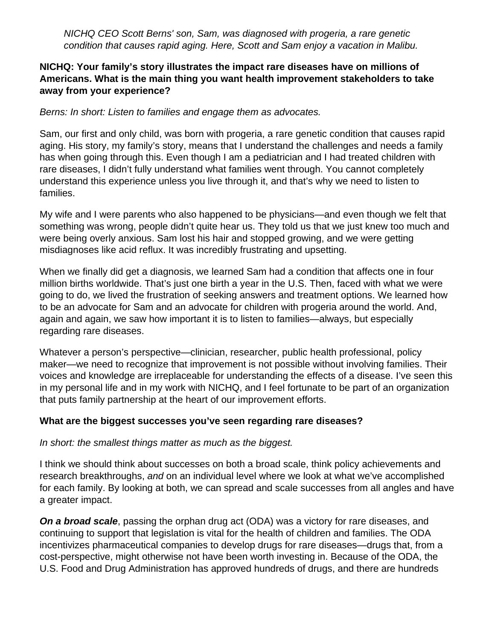NICHQ CEO Scott Berns' son, Sam, was diagnosed with progeria, a rare genetic condition that causes rapid aging. Here, Scott and Sam enjoy a vacation in Malibu.

## **NICHQ: Your family's story illustrates the impact rare diseases have on millions of Americans. What is the main thing you want health improvement stakeholders to take away from your experience?**

## Berns: In short: Listen to families and engage them as advocates.

Sam, our first and only child, was born with progeria, a rare genetic condition that causes rapid aging. His story, my family's story, means that I understand the challenges and needs a family has when going through this. Even though I am a pediatrician and I had treated children with rare diseases, I didn't fully understand what families went through. You cannot completely understand this experience unless you live through it, and that's why we need to listen to families.

My wife and I were parents who also happened to be physicians—and even though we felt that something was wrong, people didn't quite hear us. They told us that we just knew too much and were being overly anxious. Sam lost his hair and stopped growing, and we were getting misdiagnoses like acid reflux. It was incredibly frustrating and upsetting.

When we finally did get a diagnosis, we learned Sam had a condition that affects one in four million births worldwide. That's just one birth a year in the U.S. Then, faced with what we were going to do, we lived the frustration of seeking answers and treatment options. We learned how to be an advocate for Sam and an advocate for children with progeria around the world. And, again and again, we saw how important it is to listen to families—always, but especially regarding rare diseases.

Whatever a person's perspective—clinician, researcher, public health professional, policy maker—we need to recognize that improvement is not possible without involving families. Their voices and knowledge are irreplaceable for understanding the effects of a disease. I've seen this in my personal life and in my work with NICHQ, and I feel fortunate to be part of an organization that puts family partnership at the heart of our improvement efforts.

### **What are the biggest successes you've seen regarding rare diseases?**

### In short: the smallest things matter as much as the biggest.

I think we should think about successes on both a broad scale, think policy achievements and research breakthroughs, and on an individual level where we look at what we've accomplished for each family. By looking at both, we can spread and scale successes from all angles and have a greater impact.

**On a broad scale**, passing the orphan drug act (ODA) was a victory for rare diseases, and continuing to support that legislation is vital for the health of children and families. The ODA incentivizes pharmaceutical companies to develop drugs for rare diseases—drugs that, from a cost-perspective, might otherwise not have been worth investing in. Because of the ODA, the U.S. Food and Drug Administration has approved hundreds of drugs, and there are hundreds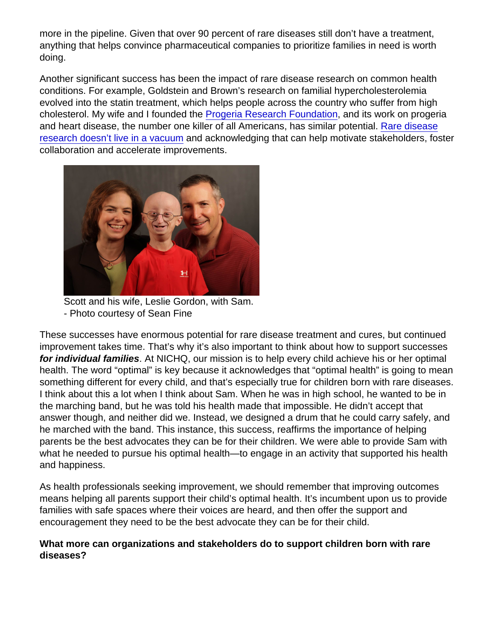more in the pipeline. Given that over 90 percent of rare diseases still don't have a treatment, anything that helps convince pharmaceutical companies to prioritize families in need is worth doing.

Another significant success has been the impact of rare disease research on common health conditions. For example, Goldstein and Brown's research on familial hypercholesterolemia evolved into the statin treatment, which helps people across the country who suffer from high cholesterol. My wife and I founded the [Progeria Research Foundation,](https://www.progeriaresearch.org/) and its work on progeria and heart disease, the number one killer of all Americans, has similar potential. [Rare disease](https://www.pcori.org/blog/spotlighting-rare-disease-research) [research doesn't live in a vacuum](https://www.pcori.org/blog/spotlighting-rare-disease-research) and acknowledging that can help motivate stakeholders, foster collaboration and accelerate improvements.

Scott and his wife, Leslie Gordon, with Sam.

- Photo courtesy of Sean Fine

These successes have enormous potential for rare disease treatment and cures, but continued improvement takes time. That's why it's also important to think about how to support successes for individual families . At NICHQ, our mission is to help every child achieve his or her optimal health. The word "optimal" is key because it acknowledges that "optimal health" is going to mean something different for every child, and that's especially true for children born with rare diseases. I think about this a lot when I think about Sam. When he was in high school, he wanted to be in the marching band, but he was told his health made that impossible. He didn't accept that answer though, and neither did we. Instead, we designed a drum that he could carry safely, and he marched with the band. This instance, this success, reaffirms the importance of helping parents be the best advocates they can be for their children. We were able to provide Sam with what he needed to pursue his optimal health—to engage in an activity that supported his health and happiness.

As health professionals seeking improvement, we should remember that improving outcomes means helping all parents support their child's optimal health. It's incumbent upon us to provide families with safe spaces where their voices are heard, and then offer the support and encouragement they need to be the best advocate they can be for their child.

What more can organizations and stakeholders do to support children born with rare diseases?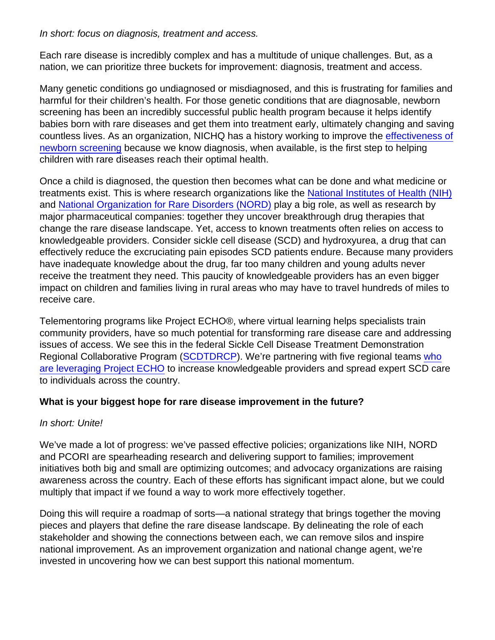In short: focus on diagnosis, treatment and access.

Each rare disease is incredibly complex and has a multitude of unique challenges. But, as a nation, we can prioritize three buckets for improvement: diagnosis, treatment and access.

Many genetic conditions go undiagnosed or misdiagnosed, and this is frustrating for families and harmful for their children's health. For those genetic conditions that are diagnosable, newborn screening has been an incredibly successful public health program because it helps identify babies born with rare diseases and get them into treatment early, ultimately changing and saving countless lives. As an organization, NICHQ has a history working to improve the [effectiveness of](https://www.nichq.org/news-item/explore-hrsas-new-newborn-screening-information-center) [newborn screening](https://www.nichq.org/news-item/explore-hrsas-new-newborn-screening-information-center) because we know diagnosis, when available, is the first step to helping children with rare diseases reach their optimal health.

Once a child is diagnosed, the question then becomes what can be done and what medicine or treatments exist. This is where research organizations like the [National Institutes of Health \(NIH\)](https://www.nih.gov/) and [National Organization for Rare Disorders \(NORD\)](https://rarediseases.org/) play a big role, as well as research by major pharmaceutical companies: together they uncover breakthrough drug therapies that change the rare disease landscape. Yet, access to known treatments often relies on access to knowledgeable providers. Consider sickle cell disease (SCD) and hydroxyurea, a drug that can effectively reduce the excruciating pain episodes SCD patients endure. Because many providers have inadequate knowledge about the drug, far too many children and young adults never receive the treatment they need. This paucity of knowledgeable providers has an even bigger impact on children and families living in rural areas who may have to travel hundreds of miles to receive care.

Telementoring programs like Project ECHO®, where virtual learning helps specialists train community providers, have so much potential for transforming rare disease care and addressing issues of access. We see this in the federal Sickle Cell Disease Treatment Demonstration Regional Collaborative Program [\(SCDTDRCP](https://www.nichq.org/project/sickle-cell-disease-treatment-demonstration-regional-collaborative-program-national)). We're partnering with five regional teams [who](https://www.nichq.org/insight/innovation-provider-training-increases-access-care-sickle-cell-disease-patients) [are leveraging Project ECHO](https://www.nichq.org/insight/innovation-provider-training-increases-access-care-sickle-cell-disease-patients) to increase knowledgeable providers and spread expert SCD care to individuals across the country.

What is your biggest hope for rare disease improvement in the future?

In short: Unite!

We've made a lot of progress: we've passed effective policies; organizations like NIH, NORD and PCORI are spearheading research and delivering support to families; improvement initiatives both big and small are optimizing outcomes; and advocacy organizations are raising awareness across the country. Each of these efforts has significant impact alone, but we could multiply that impact if we found a way to work more effectively together.

Doing this will require a roadmap of sorts—a national strategy that brings together the moving pieces and players that define the rare disease landscape. By delineating the role of each stakeholder and showing the connections between each, we can remove silos and inspire national improvement. As an improvement organization and national change agent, we're invested in uncovering how we can best support this national momentum.